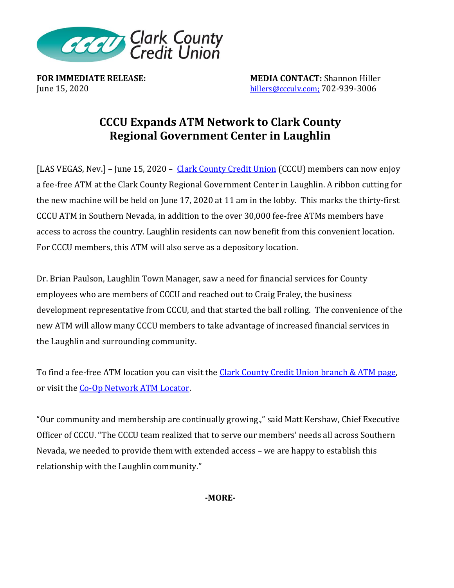

**FOR IMMEDIATE RELEASE: MEDIA CONTACT:** Shannon Hiller June 15, 2020 [hillers@ccculv.com;](mailto:hillers@ccculv.com) 702-939-3006

## **CCCU Expands ATM Network to Clark County Regional Government Center in Laughlin**

[LAS VEGAS, Nev.] – June 15, 2020 – [Clark County Credit Union](http://www.ccculv.org/) (CCCU) members can now enjoy a fee-free ATM at the Clark County Regional Government Center in Laughlin. A ribbon cutting for the new machine will be held on June 17, 2020 at 11 am in the lobby. This marks the thirty-first CCCU ATM in Southern Nevada, in addition to the over 30,000 fee-free ATMs members have access to across the country. Laughlin residents can now benefit from this convenient location. For CCCU members, this ATM will also serve as a depository location.

Dr. Brian Paulson, Laughlin Town Manager, saw a need for financial services for County employees who are members of CCCU and reached out to Craig Fraley, the business development representative from CCCU, and that started the ball rolling. The convenience of the new ATM will allow many CCCU members to take advantage of increased financial services in the Laughlin and surrounding community.

To find a fee-free ATM location you can visit the [Clark County Credit Union branch & ATM page,](https://www.ccculv.org/Find-an-ATM.aspx) or visit the [Co-Op Network ATM Locator.](https://co-opcreditunions.org/locator/?ref=co-opatm.org&sc=1&utm_source=co-opfs.org&utm_medium=cta&utm_campaign=b2bsite&utm_term=locatorpage)

"Our community and membership are continually growing.," said Matt Kershaw, Chief Executive Officer of CCCU. "The CCCU team realized that to serve our members' needs all across Southern Nevada, we needed to provide them with extended access – we are happy to establish this relationship with the Laughlin community."

**-MORE-**